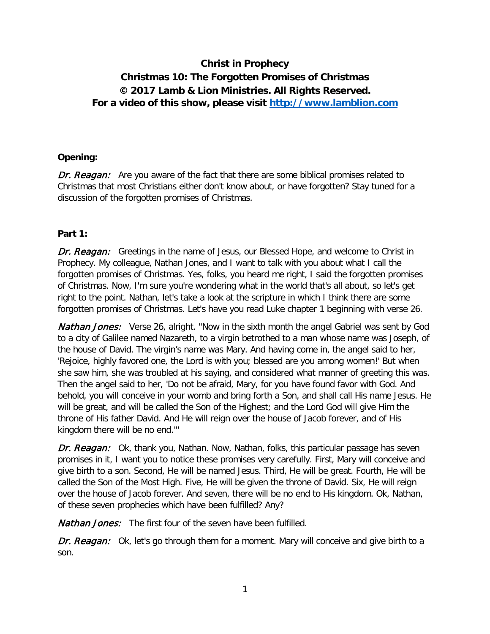# **Christ in Prophecy Christmas 10: The Forgotten Promises of Christmas © 2017 Lamb & Lion Ministries. All Rights Reserved. For a video of this show, please visit [http://www.lamblion.com](http://www.lamblion.com/)**

#### **Opening:**

Dr. Reagan: Are you aware of the fact that there are some biblical promises related to Christmas that most Christians either don't know about, or have forgotten? Stay tuned for a discussion of the forgotten promises of Christmas.

#### **Part 1:**

**Dr. Reagan:** Greetings in the name of Jesus, our Blessed Hope, and welcome to Christ in Prophecy. My colleague, Nathan Jones, and I want to talk with you about what I call the forgotten promises of Christmas. Yes, folks, you heard me right, I said the forgotten promises of Christmas. Now, I'm sure you're wondering what in the world that's all about, so let's get right to the point. Nathan, let's take a look at the scripture in which I think there are some forgotten promises of Christmas. Let's have you read Luke chapter 1 beginning with verse 26.

**Nathan Jones:** Verse 26, alright. "Now in the sixth month the angel Gabriel was sent by God to a city of Galilee named Nazareth, to a virgin betrothed to a man whose name was Joseph, of the house of David. The virgin's name was Mary. And having come in, the angel said to her, 'Rejoice, highly favored one, the Lord is with you; blessed are you among women!' But when she saw him, she was troubled at his saying, and considered what manner of greeting this was. Then the angel said to her, 'Do not be afraid, Mary, for you have found favor with God. And behold, you will conceive in your womb and bring forth a Son, and shall call His name Jesus. He will be great, and will be called the Son of the Highest; and the Lord God will give Him the throne of His father David. And He will reign over the house of Jacob forever, and of His kingdom there will be no end.'''

Dr. Reagan: Ok, thank you, Nathan. Now, Nathan, folks, this particular passage has seven promises in it, I want you to notice these promises very carefully. First, Mary will conceive and give birth to a son. Second, He will be named Jesus. Third, He will be great. Fourth, He will be called the Son of the Most High. Five, He will be given the throne of David. Six, He will reign over the house of Jacob forever. And seven, there will be no end to His kingdom. Ok, Nathan, of these seven prophecies which have been fulfilled? Any?

**Nathan Jones:** The first four of the seven have been fulfilled.

Dr. Reagan: Ok, let's go through them for a moment. Mary will conceive and give birth to a son.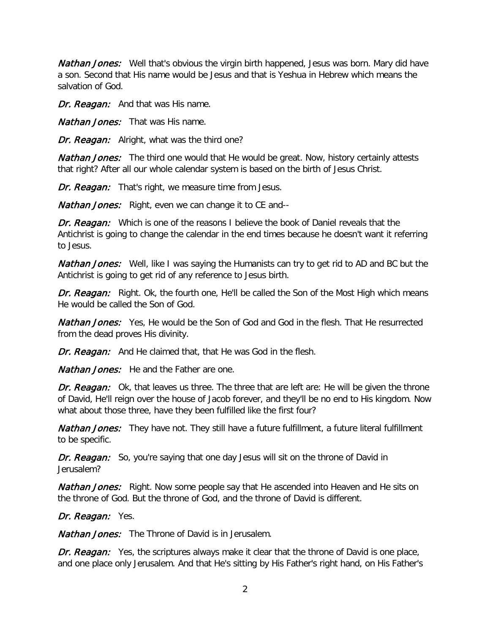**Nathan Jones:** Well that's obvious the virgin birth happened, Jesus was born. Mary did have a son. Second that His name would be Jesus and that is Yeshua in Hebrew which means the salvation of God.

Dr. Reagan: And that was His name.

**Nathan Jones:** That was His name.

Dr. Reagan: Alright, what was the third one?

**Nathan Jones:** The third one would that He would be great. Now, history certainly attests that right? After all our whole calendar system is based on the birth of Jesus Christ.

Dr. Reagan: That's right, we measure time from Jesus.

**Nathan Jones:** Right, even we can change it to CE and--

Dr. Reagan: Which is one of the reasons I believe the book of Daniel reveals that the Antichrist is going to change the calendar in the end times because he doesn't want it referring to Jesus.

**Nathan Jones:** Well, like I was saying the Humanists can try to get rid to AD and BC but the Antichrist is going to get rid of any reference to Jesus birth.

Dr. Reagan: Right. Ok, the fourth one, He'll be called the Son of the Most High which means He would be called the Son of God.

**Nathan Jones:** Yes, He would be the Son of God and God in the flesh. That He resurrected from the dead proves His divinity.

Dr. Reagan: And He claimed that, that He was God in the flesh.

**Nathan Jones:** He and the Father are one.

Dr. Reagan: Ok, that leaves us three. The three that are left are: He will be given the throne of David, He'll reign over the house of Jacob forever, and they'll be no end to His kingdom. Now what about those three, have they been fulfilled like the first four?

**Nathan Jones:** They have not. They still have a future fulfillment, a future literal fulfillment to be specific.

Dr. Reagan: So, you're saying that one day Jesus will sit on the throne of David in Jerusalem?

**Nathan Jones:** Right. Now some people say that He ascended into Heaven and He sits on the throne of God. But the throne of God, and the throne of David is different.

Dr. Reagan: Yes.

**Nathan Jones:** The Throne of David is in Jerusalem.

Dr. Reagan: Yes, the scriptures always make it clear that the throne of David is one place, and one place only Jerusalem. And that He's sitting by His Father's right hand, on His Father's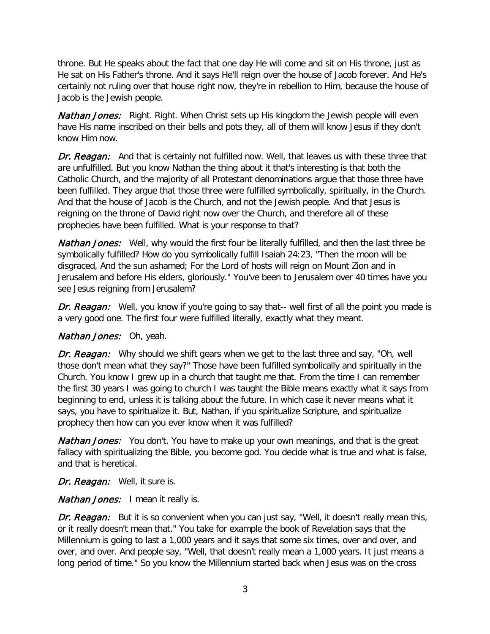throne. But He speaks about the fact that one day He will come and sit on His throne, just as He sat on His Father's throne. And it says He'll reign over the house of Jacob forever. And He's certainly not ruling over that house right now, they're in rebellion to Him, because the house of Jacob is the Jewish people.

**Nathan Jones:** Right. Right. When Christ sets up His kingdom the Jewish people will even have His name inscribed on their bells and pots they, all of them will know Jesus if they don't know Him now.

Dr. Reagan: And that is certainly not fulfilled now. Well, that leaves us with these three that are unfulfilled. But you know Nathan the thing about it that's interesting is that both the Catholic Church, and the majority of all Protestant denominations argue that those three have been fulfilled. They argue that those three were fulfilled symbolically, spiritually, in the Church. And that the house of Jacob is the Church, and not the Jewish people. And that Jesus is reigning on the throne of David right now over the Church, and therefore all of these prophecies have been fulfilled. What is your response to that?

**Nathan Jones:** Well, why would the first four be literally fulfilled, and then the last three be symbolically fulfilled? How do you symbolically fulfill Isaiah 24:23, "Then the moon will be disgraced, And the sun ashamed; For the Lord of hosts will reign on Mount Zion and in Jerusalem and before His elders, gloriously." You've been to Jerusalem over 40 times have you see Jesus reigning from Jerusalem?

Dr. Reagan: Well, you know if you're going to say that-- well first of all the point you made is a very good one. The first four were fulfilled literally, exactly what they meant.

## Nathan Jones: Oh, yeah.

Dr. Reagan: Why should we shift gears when we get to the last three and say, "Oh, well those don't mean what they say?" Those have been fulfilled symbolically and spiritually in the Church. You know I grew up in a church that taught me that. From the time I can remember the first 30 years I was going to church I was taught the Bible means exactly what it says from beginning to end, unless it is talking about the future. In which case it never means what it says, you have to spiritualize it. But, Nathan, if you spiritualize Scripture, and spiritualize prophecy then how can you ever know when it was fulfilled?

**Nathan Jones:** You don't. You have to make up your own meanings, and that is the great fallacy with spiritualizing the Bible, you become god. You decide what is true and what is false, and that is heretical.

Dr. Reagan: Well, it sure is.

Nathan Jones: I mean it really is.

Dr. Reagan: But it is so convenient when you can just say, "Well, it doesn't really mean this, or it really doesn't mean that." You take for example the book of Revelation says that the Millennium is going to last a 1,000 years and it says that some six times, over and over, and over, and over. And people say, "Well, that doesn't really mean a 1,000 years. It just means a long period of time." So you know the Millennium started back when Jesus was on the cross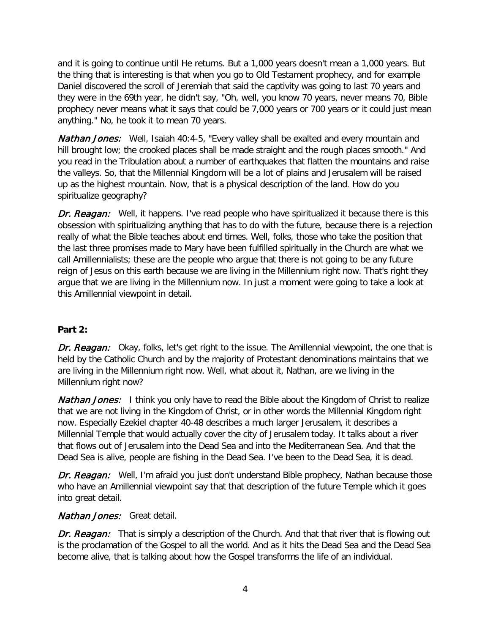and it is going to continue until He returns. But a 1,000 years doesn't mean a 1,000 years. But the thing that is interesting is that when you go to Old Testament prophecy, and for example Daniel discovered the scroll of Jeremiah that said the captivity was going to last 70 years and they were in the 69th year, he didn't say, "Oh, well, you know 70 years, never means 70, Bible prophecy never means what it says that could be 7,000 years or 700 years or it could just mean anything." No, he took it to mean 70 years.

**Nathan Jones:** Well, Isaiah 40:4-5, "Every valley shall be exalted and every mountain and hill brought low; the crooked places shall be made straight and the rough places smooth." And you read in the Tribulation about a number of earthquakes that flatten the mountains and raise the valleys. So, that the Millennial Kingdom will be a lot of plains and Jerusalem will be raised up as the highest mountain. Now, that is a physical description of the land. How do you spiritualize geography?

**Dr. Reagan:** Well, it happens. I've read people who have spiritualized it because there is this obsession with spiritualizing anything that has to do with the future, because there is a rejection really of what the Bible teaches about end times. Well, folks, those who take the position that the last three promises made to Mary have been fulfilled spiritually in the Church are what we call Amillennialists; these are the people who argue that there is not going to be any future reign of Jesus on this earth because we are living in the Millennium right now. That's right they argue that we are living in the Millennium now. In just a moment were going to take a look at this Amillennial viewpoint in detail.

## **Part 2:**

Dr. Reagan: Okay, folks, let's get right to the issue. The Amillennial viewpoint, the one that is held by the Catholic Church and by the majority of Protestant denominations maintains that we are living in the Millennium right now. Well, what about it, Nathan, are we living in the Millennium right now?

**Nathan Jones:** I think you only have to read the Bible about the Kingdom of Christ to realize that we are not living in the Kingdom of Christ, or in other words the Millennial Kingdom right now. Especially Ezekiel chapter 40-48 describes a much larger Jerusalem, it describes a Millennial Temple that would actually cover the city of Jerusalem today. It talks about a river that flows out of Jerusalem into the Dead Sea and into the Mediterranean Sea. And that the Dead Sea is alive, people are fishing in the Dead Sea. I've been to the Dead Sea, it is dead.

Dr. Reagan: Well, I'm afraid you just don't understand Bible prophecy, Nathan because those who have an Amillennial viewpoint say that that description of the future Temple which it goes into great detail.

## Nathan Jones: Great detail.

Dr. Reagan: That is simply a description of the Church. And that that river that is flowing out is the proclamation of the Gospel to all the world. And as it hits the Dead Sea and the Dead Sea become alive, that is talking about how the Gospel transforms the life of an individual.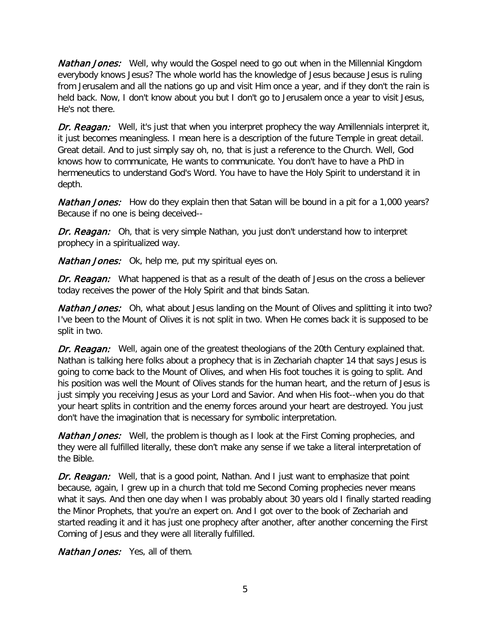**Nathan Jones:** Well, why would the Gospel need to go out when in the Millennial Kingdom everybody knows Jesus? The whole world has the knowledge of Jesus because Jesus is ruling from Jerusalem and all the nations go up and visit Him once a year, and if they don't the rain is held back. Now, I don't know about you but I don't go to Jerusalem once a year to visit Jesus, He's not there.

Dr. Reagan: Well, it's just that when you interpret prophecy the way Amillennials interpret it, it just becomes meaningless. I mean here is a description of the future Temple in great detail. Great detail. And to just simply say oh, no, that is just a reference to the Church. Well, God knows how to communicate, He wants to communicate. You don't have to have a PhD in hermeneutics to understand God's Word. You have to have the Holy Spirit to understand it in depth.

Nathan Jones: How do they explain then that Satan will be bound in a pit for a 1,000 years? Because if no one is being deceived--

Dr. Reagan: Oh, that is very simple Nathan, you just don't understand how to interpret prophecy in a spiritualized way.

Nathan Jones: Ok, help me, put my spiritual eyes on.

Dr. Reagan: What happened is that as a result of the death of Jesus on the cross a believer today receives the power of the Holy Spirit and that binds Satan.

Nathan Jones: Oh, what about Jesus landing on the Mount of Olives and splitting it into two? I've been to the Mount of Olives it is not split in two. When He comes back it is supposed to be split in two.

Dr. Reagan: Well, again one of the greatest theologians of the 20th Century explained that. Nathan is talking here folks about a prophecy that is in Zechariah chapter 14 that says Jesus is going to come back to the Mount of Olives, and when His foot touches it is going to split. And his position was well the Mount of Olives stands for the human heart, and the return of Jesus is just simply you receiving Jesus as your Lord and Savior. And when His foot--when you do that your heart splits in contrition and the enemy forces around your heart are destroyed. You just don't have the imagination that is necessary for symbolic interpretation.

**Nathan Jones:** Well, the problem is though as I look at the First Coming prophecies, and they were all fulfilled literally, these don't make any sense if we take a literal interpretation of the Bible.

Dr. Reagan: Well, that is a good point, Nathan. And I just want to emphasize that point because, again, I grew up in a church that told me Second Coming prophecies never means what it says. And then one day when I was probably about 30 years old I finally started reading the Minor Prophets, that you're an expert on. And I got over to the book of Zechariah and started reading it and it has just one prophecy after another, after another concerning the First Coming of Jesus and they were all literally fulfilled.

**Nathan Jones:** Yes, all of them.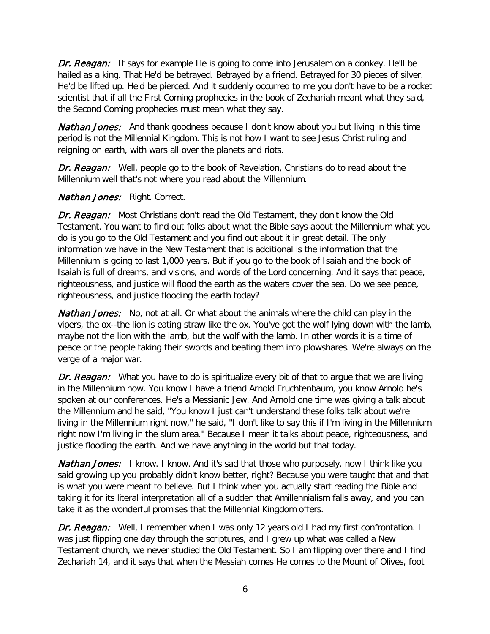Dr. Reagan: It says for example He is going to come into Jerusalem on a donkey. He'll be hailed as a king. That He'd be betrayed. Betrayed by a friend. Betrayed for 30 pieces of silver. He'd be lifted up. He'd be pierced. And it suddenly occurred to me you don't have to be a rocket scientist that if all the First Coming prophecies in the book of Zechariah meant what they said, the Second Coming prophecies must mean what they say.

**Nathan Jones:** And thank goodness because I don't know about you but living in this time period is not the Millennial Kingdom. This is not how I want to see Jesus Christ ruling and reigning on earth, with wars all over the planets and riots.

Dr. Reagan: Well, people go to the book of Revelation, Christians do to read about the Millennium well that's not where you read about the Millennium.

## **Nathan Jones: Right. Correct.**

Dr. Reagan: Most Christians don't read the Old Testament, they don't know the Old Testament. You want to find out folks about what the Bible says about the Millennium what you do is you go to the Old Testament and you find out about it in great detail. The only information we have in the New Testament that is additional is the information that the Millennium is going to last 1,000 years. But if you go to the book of Isaiah and the book of Isaiah is full of dreams, and visions, and words of the Lord concerning. And it says that peace, righteousness, and justice will flood the earth as the waters cover the sea. Do we see peace, righteousness, and justice flooding the earth today?

**Nathan Jones:** No, not at all. Or what about the animals where the child can play in the vipers, the ox--the lion is eating straw like the ox. You've got the wolf lying down with the lamb, maybe not the lion with the lamb, but the wolf with the lamb. In other words it is a time of peace or the people taking their swords and beating them into plowshares. We're always on the verge of a major war.

**Dr. Reagan:** What you have to do is spiritualize every bit of that to arque that we are living in the Millennium now. You know I have a friend Arnold Fruchtenbaum, you know Arnold he's spoken at our conferences. He's a Messianic Jew. And Arnold one time was giving a talk about the Millennium and he said, "You know I just can't understand these folks talk about we're living in the Millennium right now," he said, "I don't like to say this if I'm living in the Millennium right now I'm living in the slum area." Because I mean it talks about peace, righteousness, and justice flooding the earth. And we have anything in the world but that today.

**Nathan Jones:** I know. I know. And it's sad that those who purposely, now I think like you said growing up you probably didn't know better, right? Because you were taught that and that is what you were meant to believe. But I think when you actually start reading the Bible and taking it for its literal interpretation all of a sudden that Amillennialism falls away, and you can take it as the wonderful promises that the Millennial Kingdom offers.

Dr. Reagan: Well, I remember when I was only 12 years old I had my first confrontation. I was just flipping one day through the scriptures, and I grew up what was called a New Testament church, we never studied the Old Testament. So I am flipping over there and I find Zechariah 14, and it says that when the Messiah comes He comes to the Mount of Olives, foot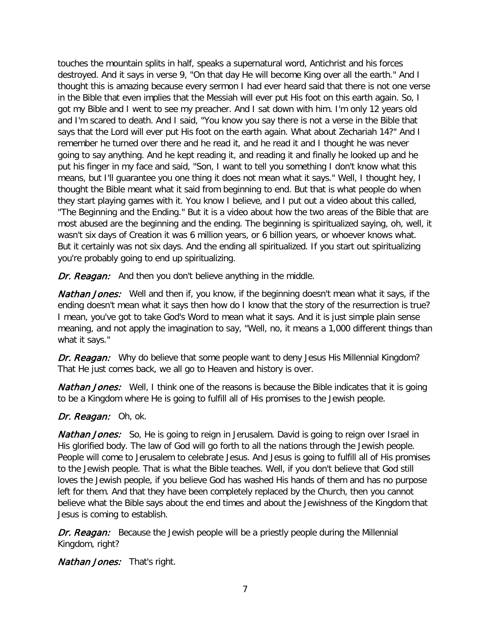touches the mountain splits in half, speaks a supernatural word, Antichrist and his forces destroyed. And it says in verse 9, "On that day He will become King over all the earth." And I thought this is amazing because every sermon I had ever heard said that there is not one verse in the Bible that even implies that the Messiah will ever put His foot on this earth again. So, I got my Bible and I went to see my preacher. And I sat down with him. I'm only 12 years old and I'm scared to death. And I said, "You know you say there is not a verse in the Bible that says that the Lord will ever put His foot on the earth again. What about Zechariah 14?" And I remember he turned over there and he read it, and he read it and I thought he was never going to say anything. And he kept reading it, and reading it and finally he looked up and he put his finger in my face and said, "Son, I want to tell you something I don't know what this means, but I'll guarantee you one thing it does not mean what it says." Well, I thought hey, I thought the Bible meant what it said from beginning to end. But that is what people do when they start playing games with it. You know I believe, and I put out a video about this called, "The Beginning and the Ending." But it is a video about how the two areas of the Bible that are most abused are the beginning and the ending. The beginning is spiritualized saying, oh, well, it wasn't six days of Creation it was 6 million years, or 6 billion years, or whoever knows what. But it certainly was not six days. And the ending all spiritualized. If you start out spiritualizing you're probably going to end up spiritualizing.

Dr. Reagan: And then you don't believe anything in the middle.

**Nathan Jones:** Well and then if, you know, if the beginning doesn't mean what it says, if the ending doesn't mean what it says then how do I know that the story of the resurrection is true? I mean, you've got to take God's Word to mean what it says. And it is just simple plain sense meaning, and not apply the imagination to say, "Well, no, it means a 1,000 different things than what it says."

Dr. Reagan: Why do believe that some people want to deny Jesus His Millennial Kingdom? That He just comes back, we all go to Heaven and history is over.

**Nathan Jones:** Well, I think one of the reasons is because the Bible indicates that it is going to be a Kingdom where He is going to fulfill all of His promises to the Jewish people.

## Dr. Reagan: Oh, ok.

**Nathan Jones:** So, He is going to reign in Jerusalem. David is going to reign over Israel in His glorified body. The law of God will go forth to all the nations through the Jewish people. People will come to Jerusalem to celebrate Jesus. And Jesus is going to fulfill all of His promises to the Jewish people. That is what the Bible teaches. Well, if you don't believe that God still loves the Jewish people, if you believe God has washed His hands of them and has no purpose left for them. And that they have been completely replaced by the Church, then you cannot believe what the Bible says about the end times and about the Jewishness of the Kingdom that Jesus is coming to establish.

Dr. Reagan: Because the Jewish people will be a priestly people during the Millennial Kingdom, right?

**Nathan Jones:** That's right.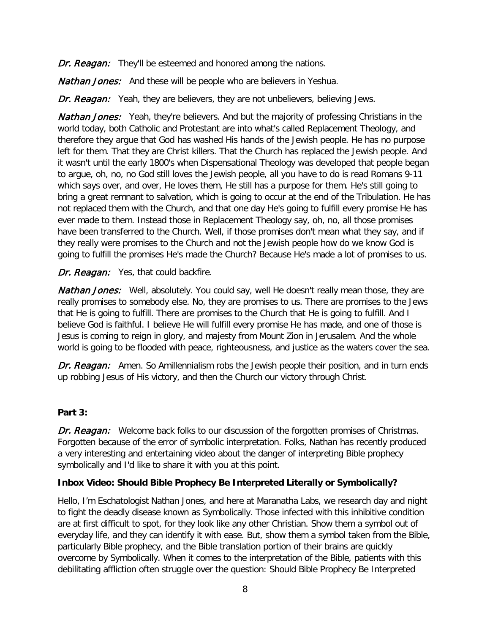Dr. Reagan: They'll be esteemed and honored among the nations.

**Nathan Jones:** And these will be people who are believers in Yeshua.

Dr. Reagan: Yeah, they are believers, they are not unbelievers, believing Jews.

**Nathan Jones:** Yeah, they're believers. And but the majority of professing Christians in the world today, both Catholic and Protestant are into what's called Replacement Theology, and therefore they argue that God has washed His hands of the Jewish people. He has no purpose left for them. That they are Christ killers. That the Church has replaced the Jewish people. And it wasn't until the early 1800's when Dispensational Theology was developed that people began to argue, oh, no, no God still loves the Jewish people, all you have to do is read Romans 9-11 which says over, and over, He loves them, He still has a purpose for them. He's still going to bring a great remnant to salvation, which is going to occur at the end of the Tribulation. He has not replaced them with the Church, and that one day He's going to fulfill every promise He has ever made to them. Instead those in Replacement Theology say, oh, no, all those promises have been transferred to the Church. Well, if those promises don't mean what they say, and if they really were promises to the Church and not the Jewish people how do we know God is going to fulfill the promises He's made the Church? Because He's made a lot of promises to us.

#### Dr. Reagan: Yes, that could backfire.

Nathan Jones: Well, absolutely. You could say, well He doesn't really mean those, they are really promises to somebody else. No, they are promises to us. There are promises to the Jews that He is going to fulfill. There are promises to the Church that He is going to fulfill. And I believe God is faithful. I believe He will fulfill every promise He has made, and one of those is Jesus is coming to reign in glory, and majesty from Mount Zion in Jerusalem. And the whole world is going to be flooded with peace, righteousness, and justice as the waters cover the sea.

Dr. Reagan: Amen. So Amillennialism robs the Jewish people their position, and in turn ends up robbing Jesus of His victory, and then the Church our victory through Christ.

## **Part 3:**

Dr. Reagan: Welcome back folks to our discussion of the forgotten promises of Christmas. Forgotten because of the error of symbolic interpretation. Folks, Nathan has recently produced a very interesting and entertaining video about the danger of interpreting Bible prophecy symbolically and I'd like to share it with you at this point.

## **Inbox Video: Should Bible Prophecy Be Interpreted Literally or Symbolically?**

Hello, I'm Eschatologist Nathan Jones, and here at Maranatha Labs, we research day and night to fight the deadly disease known as Symbolically. Those infected with this inhibitive condition are at first difficult to spot, for they look like any other Christian. Show them a symbol out of everyday life, and they can identify it with ease. But, show them a symbol taken from the Bible, particularly Bible prophecy, and the Bible translation portion of their brains are quickly overcome by Symbolically. When it comes to the interpretation of the Bible, patients with this debilitating affliction often struggle over the question: Should Bible Prophecy Be Interpreted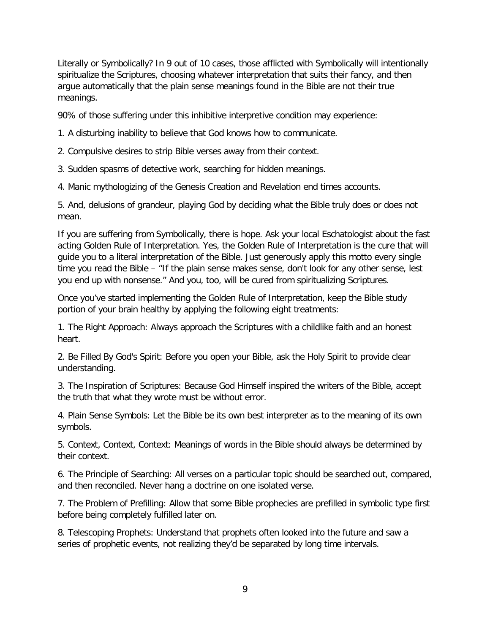Literally or Symbolically? In 9 out of 10 cases, those afflicted with Symbolically will intentionally spiritualize the Scriptures, choosing whatever interpretation that suits their fancy, and then argue automatically that the plain sense meanings found in the Bible are not their true meanings.

90% of those suffering under this inhibitive interpretive condition may experience:

1. A disturbing inability to believe that God knows how to communicate.

2. Compulsive desires to strip Bible verses away from their context.

3. Sudden spasms of detective work, searching for hidden meanings.

4. Manic mythologizing of the Genesis Creation and Revelation end times accounts.

5. And, delusions of grandeur, playing God by deciding what the Bible truly does or does not mean.

If you are suffering from Symbolically, there is hope. Ask your local Eschatologist about the fast acting Golden Rule of Interpretation. Yes, the Golden Rule of Interpretation is the cure that will guide you to a literal interpretation of the Bible. Just generously apply this motto every single time you read the Bible – "If the plain sense makes sense, don't look for any other sense, lest you end up with nonsense." And you, too, will be cured from spiritualizing Scriptures.

Once you've started implementing the Golden Rule of Interpretation, keep the Bible study portion of your brain healthy by applying the following eight treatments:

1. The Right Approach: Always approach the Scriptures with a childlike faith and an honest heart.

2. Be Filled By God's Spirit: Before you open your Bible, ask the Holy Spirit to provide clear understanding.

3. The Inspiration of Scriptures: Because God Himself inspired the writers of the Bible, accept the truth that what they wrote must be without error.

4. Plain Sense Symbols: Let the Bible be its own best interpreter as to the meaning of its own symbols.

5. Context, Context, Context: Meanings of words in the Bible should always be determined by their context.

6. The Principle of Searching: All verses on a particular topic should be searched out, compared, and then reconciled. Never hang a doctrine on one isolated verse.

7. The Problem of Prefilling: Allow that some Bible prophecies are prefilled in symbolic type first before being completely fulfilled later on.

8. Telescoping Prophets: Understand that prophets often looked into the future and saw a series of prophetic events, not realizing they'd be separated by long time intervals.